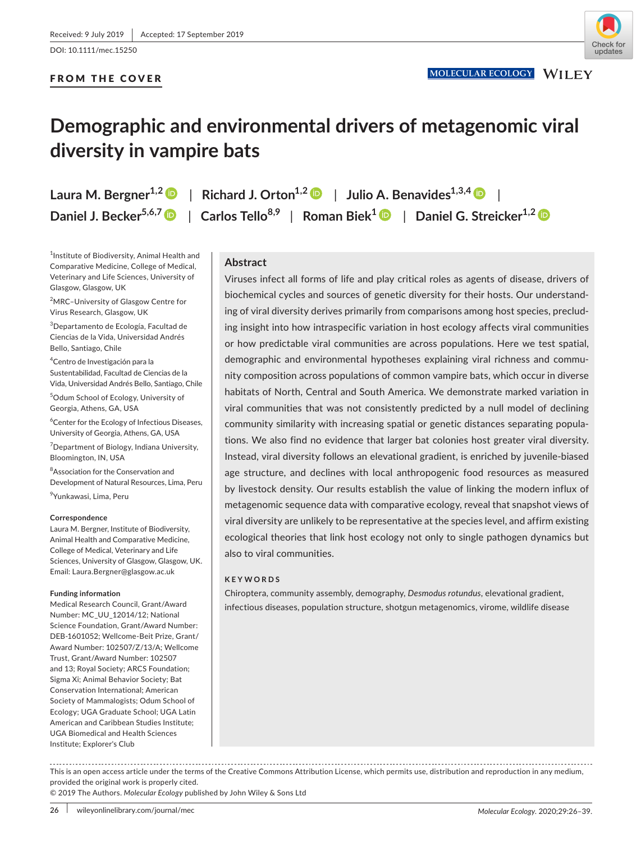DOI: 10.1111/mec.15250

# FROM THE COVER



# **Demographic and environmental drivers of metagenomic viral diversity in vampire bats**

**Laura M. Bergner**<sup>1,[2](https://orcid.org/0000-0003-4169-7169)</sup> | Richard J. Orton<sup>1,2</sup> | Julio A. Benavides<sup>1,3,4</sup> | **Daniel J. Becker5,6,[7](https://orcid.org/0000-0003-4315-8628)** | **Carlos Tello8,9** | **Roman Biek[1](https://orcid.org/0000-0003-3471-5357)** | **Daniel G. Streicker1,2**

1 Institute of Biodiversity, Animal Health and Comparative Medicine, College of Medical, Veterinary and Life Sciences, University of Glasgow, Glasgow, UK

<sup>2</sup>MRC-University of Glasgow Centre for Virus Research, Glasgow, UK

3 Departamento de Ecología, Facultad de Ciencias de la Vida, Universidad Andrés Bello, Santiago, Chile

4 Centro de Investigación para la Sustentabilidad, Facultad de Ciencias de la Vida, Universidad Andrés Bello, Santiago, Chile

5 Odum School of Ecology, University of Georgia, Athens, GA, USA

<sup>6</sup> Center for the Ecology of Infectious Diseases, University of Georgia, Athens, GA, USA

<sup>7</sup> Department of Biology, Indiana University, Bloomington, IN, USA

<sup>8</sup>Association for the Conservation and Development of Natural Resources, Lima, Peru <sup>9</sup>Yunkawasi, Lima, Peru

#### **Correspondence**

Laura M. Bergner, Institute of Biodiversity, Animal Health and Comparative Medicine, College of Medical, Veterinary and Life Sciences, University of Glasgow, Glasgow, UK. Email: [Laura.Bergner@glasgow.ac.uk](mailto:Laura.Bergner@glasgow.ac.uk)

#### **Funding information**

Medical Research Council, Grant/Award Number: MC\_UU\_12014/12; National Science Foundation, Grant/Award Number: DEB‐1601052; Wellcome‐Beit Prize, Grant/ Award Number: 102507/Z/13/A; Wellcome Trust, Grant/Award Number: 102507 and 13; Royal Society; ARCS Foundation; Sigma Xi; Animal Behavior Society; Bat Conservation International; American Society of Mammalogists; Odum School of Ecology; UGA Graduate School; UGA Latin American and Caribbean Studies Institute; UGA Biomedical and Health Sciences Institute; Explorer's Club

## **Abstract**

Viruses infect all forms of life and play critical roles as agents of disease, drivers of biochemical cycles and sources of genetic diversity for their hosts. Our understand‐ ing of viral diversity derives primarily from comparisons among host species, preclud‐ ing insight into how intraspecific variation in host ecology affects viral communities or how predictable viral communities are across populations. Here we test spatial, demographic and environmental hypotheses explaining viral richness and community composition across populations of common vampire bats, which occur in diverse habitats of North, Central and South America. We demonstrate marked variation in viral communities that was not consistently predicted by a null model of declining community similarity with increasing spatial or genetic distances separating popula‐ tions. We also find no evidence that larger bat colonies host greater viral diversity. Instead, viral diversity follows an elevational gradient, is enriched by juvenile‐biased age structure, and declines with local anthropogenic food resources as measured by livestock density. Our results establish the value of linking the modern influx of metagenomic sequence data with comparative ecology, reveal that snapshot views of viral diversity are unlikely to be representative at the species level, and affirm existing ecological theories that link host ecology not only to single pathogen dynamics but also to viral communities.

## **KEYWORDS**

Chiroptera, community assembly, demography, *Desmodus rotundus*, elevational gradient, infectious diseases, population structure, shotgun metagenomics, virome, wildlife disease

This is an open access article under the terms of the [Creative Commons Attribution](http://creativecommons.org/licenses/by/4.0/) License, which permits use, distribution and reproduction in any medium, provided the original work is properly cited.

© 2019 The Authors. *Molecular Ecology* published by John Wiley & Sons Ltd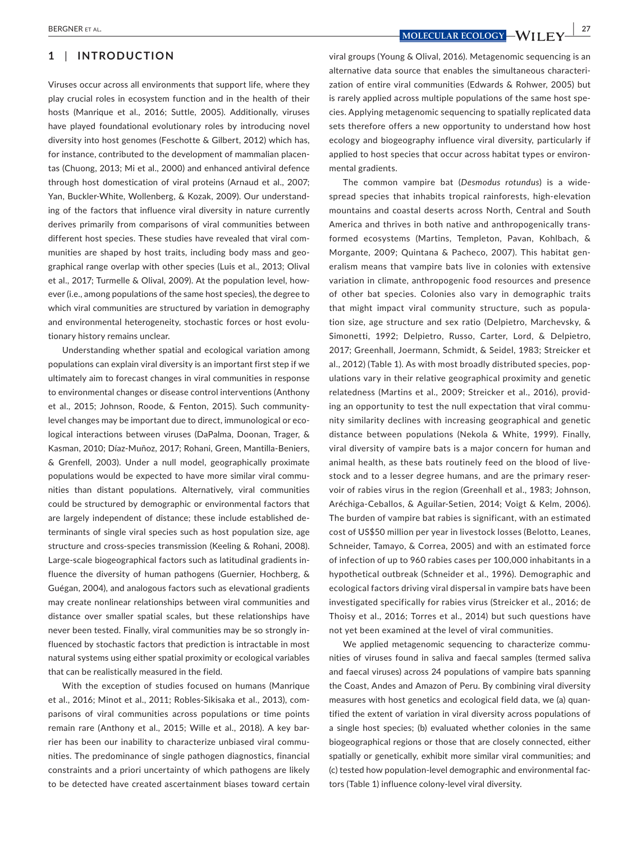# **1** | **INTRODUCTION**

Viruses occur across all environments that support life, where they play crucial roles in ecosystem function and in the health of their hosts (Manrique et al., 2016; Suttle, 2005). Additionally, viruses have played foundational evolutionary roles by introducing novel diversity into host genomes (Feschotte & Gilbert, 2012) which has, for instance, contributed to the development of mammalian placentas (Chuong, 2013; Mi et al., 2000) and enhanced antiviral defence through host domestication of viral proteins (Arnaud et al., 2007; Yan, Buckler‐White, Wollenberg, & Kozak, 2009). Our understand‐ ing of the factors that influence viral diversity in nature currently derives primarily from comparisons of viral communities between different host species. These studies have revealed that viral com‐ munities are shaped by host traits, including body mass and geo‐ graphical range overlap with other species (Luis et al., 2013; Olival et al., 2017; Turmelle & Olival, 2009). At the population level, however (i.e., among populations of the same host species), the degree to which viral communities are structured by variation in demography and environmental heterogeneity, stochastic forces or host evolutionary history remains unclear.

Understanding whether spatial and ecological variation among populations can explain viral diversity is an important first step if we ultimately aim to forecast changes in viral communities in response to environmental changes or disease control interventions (Anthony et al., 2015; Johnson, Roode, & Fenton, 2015). Such community‐ level changes may be important due to direct, immunological or eco‐ logical interactions between viruses (DaPalma, Doonan, Trager, & Kasman, 2010; Díaz‐Muñoz, 2017; Rohani, Green, Mantilla‐Beniers, & Grenfell, 2003). Under a null model, geographically proximate populations would be expected to have more similar viral commu‐ nities than distant populations. Alternatively, viral communities could be structured by demographic or environmental factors that are largely independent of distance; these include established de‐ terminants of single viral species such as host population size, age structure and cross‐species transmission (Keeling & Rohani, 2008). Large‐scale biogeographical factors such as latitudinal gradients in‐ fluence the diversity of human pathogens (Guernier, Hochberg, & Guégan, 2004), and analogous factors such as elevational gradients may create nonlinear relationships between viral communities and distance over smaller spatial scales, but these relationships have never been tested. Finally, viral communities may be so strongly in‐ fluenced by stochastic factors that prediction is intractable in most natural systems using either spatial proximity or ecological variables that can be realistically measured in the field.

With the exception of studies focused on humans (Manrique et al., 2016; Minot et al., 2011; Robles‐Sikisaka et al., 2013), com‐ parisons of viral communities across populations or time points remain rare (Anthony et al., 2015; Wille et al., 2018). A key bar‐ rier has been our inability to characterize unbiased viral commu‐ nities. The predominance of single pathogen diagnostics, financial constraints and a priori uncertainty of which pathogens are likely to be detected have created ascertainment biases toward certain

 **BERGNER ET AL. 27 MOLECULAR ECOLOGY** - WILLEY 27

viral groups (Young & Olival, 2016). Metagenomic sequencing is an alternative data source that enables the simultaneous characteri‐ zation of entire viral communities (Edwards & Rohwer, 2005) but is rarely applied across multiple populations of the same host spe‐ cies. Applying metagenomic sequencing to spatially replicated data sets therefore offers a new opportunity to understand how host ecology and biogeography influence viral diversity, particularly if applied to host species that occur across habitat types or environ‐ mental gradients.

The common vampire bat (*Desmodus rotundus*) is a wide‐ spread species that inhabits tropical rainforests, high-elevation mountains and coastal deserts across North, Central and South America and thrives in both native and anthropogenically trans‐ formed ecosystems (Martins, Templeton, Pavan, Kohlbach, & Morgante, 2009; Quintana & Pacheco, 2007). This habitat gen‐ eralism means that vampire bats live in colonies with extensive variation in climate, anthropogenic food resources and presence of other bat species. Colonies also vary in demographic traits that might impact viral community structure, such as popula‐ tion size, age structure and sex ratio (Delpietro, Marchevsky, & Simonetti, 1992; Delpietro, Russo, Carter, Lord, & Delpietro, 2017; Greenhall, Joermann, Schmidt, & Seidel, 1983; Streicker et al., 2012) (Table 1). As with most broadly distributed species, pop‐ ulations vary in their relative geographical proximity and genetic relatedness (Martins et al., 2009; Streicker et al., 2016), provid‐ ing an opportunity to test the null expectation that viral community similarity declines with increasing geographical and genetic distance between populations (Nekola & White, 1999). Finally, viral diversity of vampire bats is a major concern for human and animal health, as these bats routinely feed on the blood of live‐ stock and to a lesser degree humans, and are the primary reser‐ voir of rabies virus in the region (Greenhall et al., 1983; Johnson, Aréchiga‐Ceballos, & Aguilar‐Setien, 2014; Voigt & Kelm, 2006). The burden of vampire bat rabies is significant, with an estimated cost of US\$50 million per year in livestock losses (Belotto, Leanes, Schneider, Tamayo, & Correa, 2005) and with an estimated force of infection of up to 960 rabies cases per 100,000 inhabitants in a hypothetical outbreak (Schneider et al., 1996). Demographic and ecological factors driving viral dispersal in vampire bats have been investigated specifically for rabies virus (Streicker et al., 2016; de Thoisy et al., 2016; Torres et al., 2014) but such questions have not yet been examined at the level of viral communities.

We applied metagenomic sequencing to characterize communities of viruses found in saliva and faecal samples (termed saliva and faecal viruses) across 24 populations of vampire bats spanning the Coast, Andes and Amazon of Peru. By combining viral diversity measures with host genetics and ecological field data, we (a) quan‐ tified the extent of variation in viral diversity across populations of a single host species; (b) evaluated whether colonies in the same biogeographical regions or those that are closely connected, either spatially or genetically, exhibit more similar viral communities; and (c) tested how population‐level demographic and environmental fac‐ tors (Table 1) influence colony‐level viral diversity.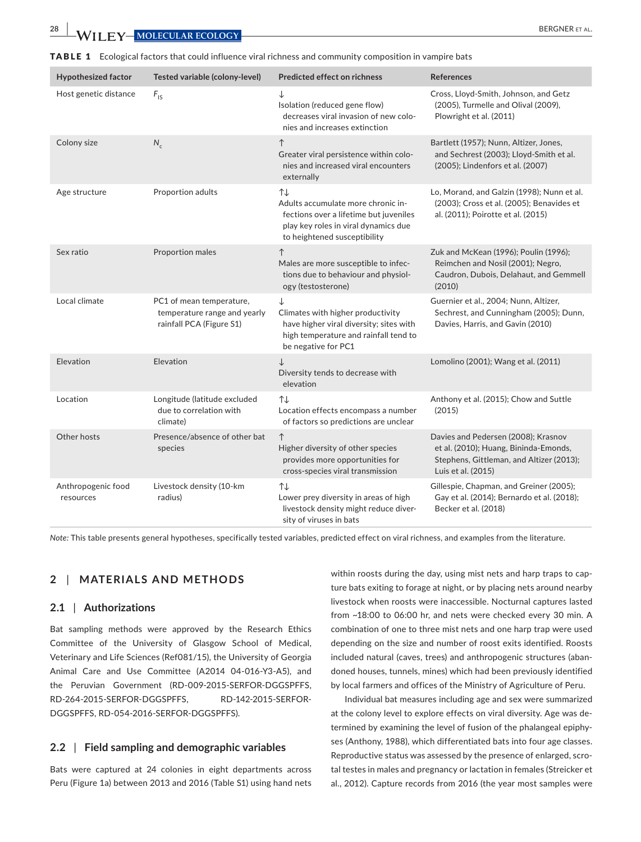**28 • 28 • PERGNER ET AL. 28 • PERGNER ET AL. 28 • PERGNER ET AL. 28 • PERGNER ET AL.** 

|  |  |  |  |  |  |  | TABLE 1 Ecological factors that could influence viral richness and community composition in vampire bats |  |  |
|--|--|--|--|--|--|--|----------------------------------------------------------------------------------------------------------|--|--|
|--|--|--|--|--|--|--|----------------------------------------------------------------------------------------------------------|--|--|

| <b>Hypothesized factor</b>      | Tested variable (colony-level)                                                       | <b>Predicted effect on richness</b>                                                                                                                        | <b>References</b>                                                                                                                              |
|---------------------------------|--------------------------------------------------------------------------------------|------------------------------------------------------------------------------------------------------------------------------------------------------------|------------------------------------------------------------------------------------------------------------------------------------------------|
| Host genetic distance           | $F_{\text{IS}}$                                                                      | ↓<br>Isolation (reduced gene flow)<br>decreases viral invasion of new colo-<br>nies and increases extinction                                               | Cross, Lloyd-Smith, Johnson, and Getz<br>(2005), Turmelle and Olival (2009),<br>Plowright et al. (2011)                                        |
| Colony size                     | $N_c$                                                                                | $\uparrow$<br>Greater viral persistence within colo-<br>nies and increased viral encounters<br>externally                                                  | Bartlett (1957); Nunn, Altizer, Jones,<br>and Sechrest (2003); Lloyd-Smith et al.<br>(2005); Lindenfors et al. (2007)                          |
| Age structure                   | Proportion adults                                                                    | ↑↓<br>Adults accumulate more chronic in-<br>fections over a lifetime but juveniles<br>play key roles in viral dynamics due<br>to heightened susceptibility | Lo, Morand, and Galzin (1998); Nunn et al.<br>(2003); Cross et al. (2005); Benavides et<br>al. (2011); Poirotte et al. (2015)                  |
| Sex ratio                       | Proportion males                                                                     | $\uparrow$<br>Males are more susceptible to infec-<br>tions due to behaviour and physiol-<br>ogy (testosterone)                                            | Zuk and McKean (1996); Poulin (1996);<br>Reimchen and Nosil (2001); Negro,<br>Caudron, Dubois, Delahaut, and Gemmell<br>(2010)                 |
| Local climate                   | PC1 of mean temperature,<br>temperature range and yearly<br>rainfall PCA (Figure S1) | ↓<br>Climates with higher productivity<br>have higher viral diversity; sites with<br>high temperature and rainfall tend to<br>be negative for PC1          | Guernier et al., 2004; Nunn, Altizer,<br>Sechrest, and Cunningham (2005); Dunn,<br>Davies, Harris, and Gavin (2010)                            |
| Elevation                       | Elevation                                                                            | ↓<br>Diversity tends to decrease with<br>elevation                                                                                                         | Lomolino (2001); Wang et al. (2011)                                                                                                            |
| Location                        | Longitude (latitude excluded<br>due to correlation with<br>climate)                  | ↑↓<br>Location effects encompass a number<br>of factors so predictions are unclear                                                                         | Anthony et al. (2015); Chow and Suttle<br>(2015)                                                                                               |
| Other hosts                     | Presence/absence of other bat<br>species                                             | $\uparrow$<br>Higher diversity of other species<br>provides more opportunities for<br>cross-species viral transmission                                     | Davies and Pedersen (2008); Krasnov<br>et al. (2010); Huang, Bininda-Emonds,<br>Stephens, Gittleman, and Altizer (2013);<br>Luis et al. (2015) |
| Anthropogenic food<br>resources | Livestock density (10-km<br>radius)                                                  | ↑↓<br>Lower prey diversity in areas of high<br>livestock density might reduce diver-<br>sity of viruses in bats                                            | Gillespie, Chapman, and Greiner (2005);<br>Gay et al. (2014); Bernardo et al. (2018);<br>Becker et al. (2018)                                  |

*Note:* This table presents general hypotheses, specifically tested variables, predicted effect on viral richness, and examples from the literature.

# **2** | **MATERIALS AND METHODS**

#### **2.1** | **Authorizations**

Bat sampling methods were approved by the Research Ethics Committee of the University of Glasgow School of Medical, Veterinary and Life Sciences (Ref081/15), the University of Georgia Animal Care and Use Committee (A2014 04‐016‐Y3‐A5), and the Peruvian Government (RD‐009‐2015‐SERFOR‐DGGSPFFS, RD‐264‐2015‐SERFOR‐DGGSPFFS, RD‐142‐2015‐SERFOR‐ DGGSPFFS, RD‐054‐2016‐SERFOR‐DGGSPFFS).

## **2.2** | **Field sampling and demographic variables**

Bats were captured at 24 colonies in eight departments across Peru (Figure 1a) between 2013 and 2016 (Table S1) using hand nets within roosts during the day, using mist nets and harp traps to capture bats exiting to forage at night, or by placing nets around nearby livestock when roosts were inaccessible. Nocturnal captures lasted from ~18:00 to 06:00 hr, and nets were checked every 30 min. A combination of one to three mist nets and one harp trap were used depending on the size and number of roost exits identified. Roosts included natural (caves, trees) and anthropogenic structures (aban‐ doned houses, tunnels, mines) which had been previously identified by local farmers and offices of the Ministry of Agriculture of Peru.

Individual bat measures including age and sex were summarized at the colony level to explore effects on viral diversity. Age was de‐ termined by examining the level of fusion of the phalangeal epiphy‐ ses (Anthony, 1988), which differentiated bats into four age classes. Reproductive status was assessed by the presence of enlarged, scro‐ tal testes in males and pregnancy or lactation in females (Streicker et al., 2012). Capture records from 2016 (the year most samples were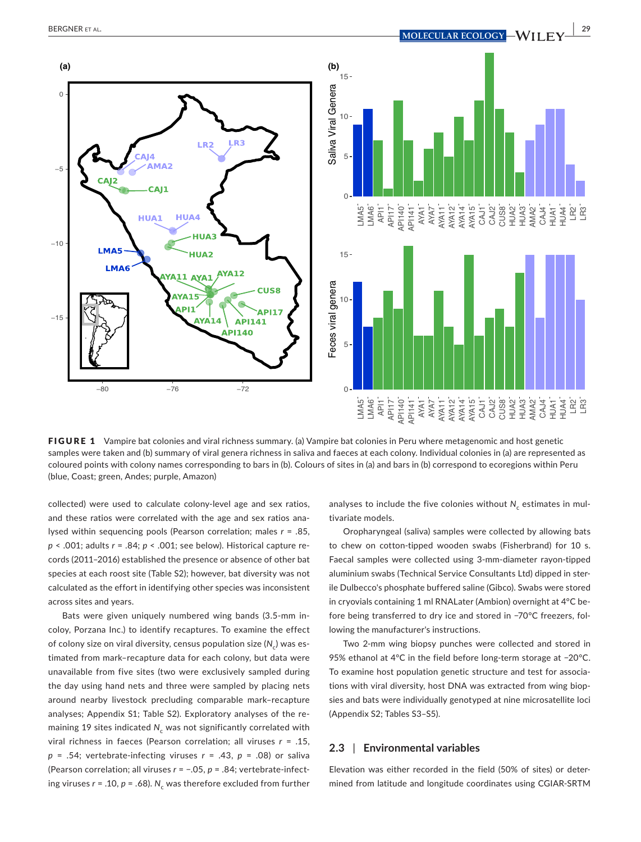

FIGURE 1 Vampire bat colonies and viral richness summary. (a) Vampire bat colonies in Peru where metagenomic and host genetic samples were taken and (b) summary of viral genera richness in saliva and faeces at each colony. Individual colonies in (a) are represented as coloured points with colony names corresponding to bars in (b). Colours of sites in (a) and bars in (b) correspond to ecoregions within Peru (blue, Coast; green, Andes; purple, Amazon)

collected) were used to calculate colony‐level age and sex ratios, and these ratios were correlated with the age and sex ratios ana‐ lysed within sequencing pools (Pearson correlation; males *r* = .85, *p* < .001; adults *r* = .84; *p* < .001; see below). Historical capture re‐ cords (2011–2016) established the presence or absence of other bat species at each roost site (Table S2); however, bat diversity was not calculated as the effort in identifying other species was inconsistent across sites and years.

Bats were given uniquely numbered wing bands (3.5‐mm in‐ coloy, Porzana Inc.) to identify recaptures. To examine the effect of colony size on viral diversity, census population size (N<sub>c</sub>) was estimated from mark–recapture data for each colony, but data were unavailable from five sites (two were exclusively sampled during the day using hand nets and three were sampled by placing nets around nearby livestock precluding comparable mark–recapture analyses; Appendix S1; Table S2). Exploratory analyses of the re‐ maining 19 sites indicated N<sub>c</sub> was not significantly correlated with viral richness in faeces (Pearson correlation; all viruses *r* = .15, *p* = .54; vertebrate‐infecting viruses *r* = .43, *p* = .08) or saliva (Pearson correlation; all viruses *r* = −.05, *p* = .84; vertebrate‐infect‐ ing viruses  $r = .10$ ,  $p = .68$ ).  $N_c$  was therefore excluded from further analyses to include the five colonies without *N<sub>c</sub>* estimates in multivariate models.

Oropharyngeal (saliva) samples were collected by allowing bats to chew on cotton-tipped wooden swabs (Fisherbrand) for 10 s. Faecal samples were collected using 3‐mm‐diameter rayon‐tipped aluminium swabs (Technical Service Consultants Ltd) dipped in ster‐ ile Dulbecco's phosphate buffered saline (Gibco). Swabs were stored in cryovials containing 1 ml RNALater (Ambion) overnight at 4°C be‐ fore being transferred to dry ice and stored in −70°C freezers, fol‐ lowing the manufacturer's instructions.

Two 2‐mm wing biopsy punches were collected and stored in 95% ethanol at 4°C in the field before long-term storage at -20°C. To examine host population genetic structure and test for associa‐ tions with viral diversity, host DNA was extracted from wing biop‐ sies and bats were individually genotyped at nine microsatellite loci (Appendix S2; Tables S3–S5).

#### **2.3** | **Environmental variables**

Elevation was either recorded in the field (50% of sites) or deter‐ mined from latitude and longitude coordinates using CGIAR‐SRTM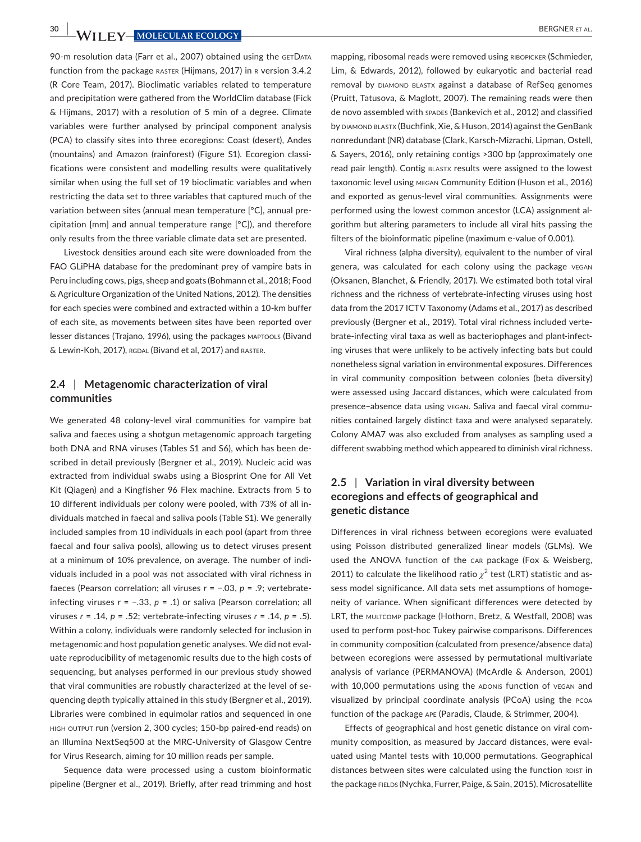**30 <b>b**ergner et al.

90-m resolution data (Farr et al., 2007) obtained using the GETDATA function from the package RASTER (Hijmans, 2017) in R version 3.4.2 (R Core Team, 2017). Bioclimatic variables related to temperature and precipitation were gathered from the WorldClim database (Fick & Hijmans, 2017) with a resolution of 5 min of a degree. Climate variables were further analysed by principal component analysis (PCA) to classify sites into three ecoregions: Coast (desert), Andes (mountains) and Amazon (rainforest) (Figure S1). Ecoregion classi‐ fications were consistent and modelling results were qualitatively similar when using the full set of 19 bioclimatic variables and when restricting the data set to three variables that captured much of the variation between sites (annual mean temperature [°C], annual pre‐ cipitation [mm] and annual temperature range [°C]), and therefore only results from the three variable climate data set are presented.

Livestock densities around each site were downloaded from the FAO GLiPHA database for the predominant prey of vampire bats in Peru including cows, pigs, sheep and goats (Bohmann et al., 2018; Food & Agriculture Organization of the United Nations, 2012). The densities for each species were combined and extracted within a 10‐km buffer of each site, as movements between sites have been reported over lesser distances (Trajano, 1996), using the packages maptools (Bivand & Lewin-Koh, 2017), RGDAL (Bivand et al, 2017) and RASTER.

## **2.4** | **Metagenomic characterization of viral communities**

We generated 48 colony-level viral communities for vampire bat saliva and faeces using a shotgun metagenomic approach targeting both DNA and RNA viruses (Tables S1 and S6), which has been de‐ scribed in detail previously (Bergner et al., 2019). Nucleic acid was extracted from individual swabs using a Biosprint One for All Vet Kit (Qiagen) and a Kingfisher 96 Flex machine. Extracts from 5 to 10 different individuals per colony were pooled, with 73% of all in‐ dividuals matched in faecal and saliva pools (Table S1). We generally included samples from 10 individuals in each pool (apart from three faecal and four saliva pools), allowing us to detect viruses present at a minimum of 10% prevalence, on average. The number of indi‐ viduals included in a pool was not associated with viral richness in faeces (Pearson correlation; all viruses *r* = −.03, *p* = .9; vertebrate‐ infecting viruses *r* = −.33, *p* = .1) or saliva (Pearson correlation; all viruses *r* = .14, *p* = .52; vertebrate‐infecting viruses *r* = .14, *p* = .5). Within a colony, individuals were randomly selected for inclusion in metagenomic and host population genetic analyses. We did not eval‐ uate reproducibility of metagenomic results due to the high costs of sequencing, but analyses performed in our previous study showed that viral communities are robustly characterized at the level of se‐ quencing depth typically attained in this study (Bergner et al., 2019). Libraries were combined in equimolar ratios and sequenced in one high output run (version 2, 300 cycles; 150‐bp paired‐end reads) on an Illumina NextSeq500 at the MRC‐University of Glasgow Centre for Virus Research, aiming for 10 million reads per sample.

Sequence data were processed using a custom bioinformatic pipeline (Bergner et al., 2019). Briefly, after read trimming and host

mapping, ribosomal reads were removed using RIBOPICKER (Schmieder, Lim, & Edwards, 2012), followed by eukaryotic and bacterial read removal by DIAMOND BLASTX against a database of RefSeq genomes (Pruitt, Tatusova, & Maglott, 2007). The remaining reads were then de novo assembled with spades (Bankevich et al., 2012) and classified by DIAMOND BLASTX (Buchfink, Xie, & Huson, 2014) against the GenBank nonredundant (NR) database (Clark, Karsch‐Mizrachi, Lipman, Ostell, & Sayers, 2016), only retaining contigs >300 bp (approximately one read pair length). Contig blastx results were assigned to the lowest taxonomic level using megan Community Edition (Huson et al., 2016) and exported as genus‐level viral communities. Assignments were performed using the lowest common ancestor (LCA) assignment al‐ gorithm but altering parameters to include all viral hits passing the filters of the bioinformatic pipeline (maximum e-value of 0.001).

Viral richness (alpha diversity), equivalent to the number of viral genera, was calculated for each colony using the package vegan (Oksanen, Blanchet, & Friendly, 2017). We estimated both total viral richness and the richness of vertebrate‐infecting viruses using host data from the 2017 ICTV Taxonomy (Adams et al., 2017) as described previously (Bergner et al., 2019). Total viral richness included verte‐ brate‐infecting viral taxa as well as bacteriophages and plant‐infect‐ ing viruses that were unlikely to be actively infecting bats but could nonetheless signal variation in environmental exposures. Differences in viral community composition between colonies (beta diversity) were assessed using Jaccard distances, which were calculated from presence–absence data using vegan. Saliva and faecal viral commu‐ nities contained largely distinct taxa and were analysed separately. Colony AMA7 was also excluded from analyses as sampling used a different swabbing method which appeared to diminish viral richness.

# **2.5** | **Variation in viral diversity between ecoregions and effects of geographical and genetic distance**

Differences in viral richness between ecoregions were evaluated using Poisson distributed generalized linear models (GLMs). We used the ANOVA function of the car package (Fox & Weisberg, 2011) to calculate the likelihood ratio  $\chi^2$  test (LRT) statistic and assess model significance. All data sets met assumptions of homoge‐ neity of variance. When significant differences were detected by LRT, the MULTCOMP package (Hothorn, Bretz, & Westfall, 2008) was used to perform post-hoc Tukey pairwise comparisons. Differences in community composition (calculated from presence/absence data) between ecoregions were assessed by permutational multivariate analysis of variance (PERMANOVA) (McArdle & Anderson, 2001) with 10,000 permutations using the ADONIS function of VEGAN and visualized by principal coordinate analysis (PCoA) using the pcoa function of the package ape (Paradis, Claude, & Strimmer, 2004).

Effects of geographical and host genetic distance on viral com‐ munity composition, as measured by Jaccard distances, were eval‐ uated using Mantel tests with 10,000 permutations. Geographical distances between sites were calculated using the function RDIST in the package fields (Nychka, Furrer, Paige, & Sain, 2015). Microsatellite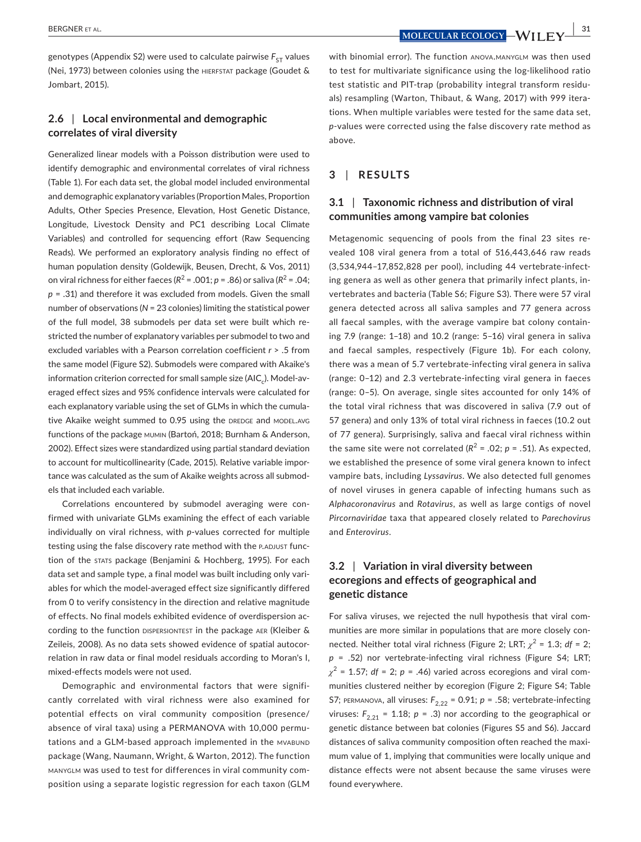**BERGNER ET AL. 31**<br>**MOLECULAR ECOLOGY** - WILLEY 34

genotypes (Appendix S2) were used to calculate pairwise  $F_{ST}$  values (Nei, 1973) between colonies using the HIERFSTAT package (Goudet & Jombart, 2015).

# **2.6** | **Local environmental and demographic correlates of viral diversity**

Generalized linear models with a Poisson distribution were used to identify demographic and environmental correlates of viral richness (Table 1). For each data set, the global model included environmental and demographic explanatory variables (Proportion Males, Proportion Adults, Other Species Presence, Elevation, Host Genetic Distance, Longitude, Livestock Density and PC1 describing Local Climate Variables) and controlled for sequencing effort (Raw Sequencing Reads). We performed an exploratory analysis finding no effect of human population density (Goldewijk, Beusen, Drecht, & Vos, 2011) on viral richness for either faeces ( $R^2$  = .001;  $p$  = .86) or saliva ( $R^2$  = .04; *p* = .31) and therefore it was excluded from models. Given the small number of observations (*N* = 23 colonies) limiting the statistical power of the full model, 38 submodels per data set were built which re‐ stricted the number of explanatory variables per submodel to two and excluded variables with a Pearson correlation coefficient *r* > .5 from the same model (Figure S2). Submodels were compared with Akaike's information criterion corrected for small sample size (AIC<sub>c</sub>). Model-averaged effect sizes and 95% confidence intervals were calculated for each explanatory variable using the set of GLMs in which the cumulative Akaike weight summed to 0.95 using the DREDGE and MODEL.AVG functions of the package mumin (Bartoń, 2018; Burnham & Anderson, 2002). Effect sizes were standardized using partial standard deviation to account for multicollinearity (Cade, 2015). Relative variable impor‐ tance was calculated as the sum of Akaike weights across all submodels that included each variable.

Correlations encountered by submodel averaging were con‐ firmed with univariate GLMs examining the effect of each variable individually on viral richness, with *p*-values corrected for multiple testing using the false discovery rate method with the P.ADJUST function of the stats package (Benjamini & Hochberg, 1995). For each data set and sample type, a final model was built including only vari‐ ables for which the model‐averaged effect size significantly differed from 0 to verify consistency in the direction and relative magnitude of effects. No final models exhibited evidence of overdispersion ac‐ cording to the function DISPERSIONTEST in the package AER (Kleiber & Zeileis, 2008). As no data sets showed evidence of spatial autocor‐ relation in raw data or final model residuals according to Moran's I, mixed‐effects models were not used.

Demographic and environmental factors that were signifi‐ cantly correlated with viral richness were also examined for potential effects on viral community composition (presence/ absence of viral taxa) using a PERMANOVA with 10,000 permu‐ tations and a GLM-based approach implemented in the MVABUND package (Wang, Naumann, Wright, & Warton, 2012). The function manyglm was used to test for differences in viral community com‐ position using a separate logistic regression for each taxon (GLM with binomial error). The function ANOVA.MANYGLM was then used to test for multivariate significance using the log-likelihood ratio test statistic and PIT‐trap (probability integral transform residu‐ als) resampling (Warton, Thibaut, & Wang, 2017) with 999 itera‐ tions. When multiple variables were tested for the same data set, p-values were corrected using the false discovery rate method as above.

# **3** | **RESULTS**

# **3.1** | **Taxonomic richness and distribution of viral communities among vampire bat colonies**

Metagenomic sequencing of pools from the final 23 sites re‐ vealed 108 viral genera from a total of 516,443,646 raw reads (3,534,944–17,852,828 per pool), including 44 vertebrate‐infect‐ ing genera as well as other genera that primarily infect plants, in‐ vertebrates and bacteria (Table S6; Figure S3). There were 57 viral genera detected across all saliva samples and 77 genera across all faecal samples, with the average vampire bat colony contain‐ ing 7.9 (range: 1–18) and 10.2 (range: 5–16) viral genera in saliva and faecal samples, respectively (Figure 1b). For each colony, there was a mean of 5.7 vertebrate‐infecting viral genera in saliva (range: 0–12) and 2.3 vertebrate‐infecting viral genera in faeces (range: 0–5). On average, single sites accounted for only 14% of the total viral richness that was discovered in saliva (7.9 out of 57 genera) and only 13% of total viral richness in faeces (10.2 out of 77 genera). Surprisingly, saliva and faecal viral richness within the same site were not correlated ( $R^2$  = .02;  $p$  = .51). As expected, we established the presence of some viral genera known to infect vampire bats, including *Lyssavirus*. We also detected full genomes of novel viruses in genera capable of infecting humans such as *Alphacoronavirus* and *Rotavirus*, as well as large contigs of novel *Pircornaviridae* taxa that appeared closely related to *Parechovirus* and *Enterovirus*.

# **3.2** | **Variation in viral diversity between ecoregions and effects of geographical and genetic distance**

For saliva viruses, we rejected the null hypothesis that viral com‐ munities are more similar in populations that are more closely con‐ nected. Neither total viral richness (Figure 2; LRT;  $\chi^2$  = 1.3; *df* = 2; *p* = .52) nor vertebrate‐infecting viral richness (Figure S4; LRT;  $\chi^2$  = 1.57; *df* = 2; *p* = .46) varied across ecoregions and viral communities clustered neither by ecoregion (Figure 2; Figure S4; Table S7; PERMANOVA, all viruses:  $F_{2,22}$  = 0.91;  $p = .58$ ; vertebrate-infecting viruses:  $F_{2,21}$  = 1.18;  $p = .3$ ) nor according to the geographical or genetic distance between bat colonies (Figures S5 and S6). Jaccard distances of saliva community composition often reached the maxi‐ mum value of 1, implying that communities were locally unique and distance effects were not absent because the same viruses were found everywhere.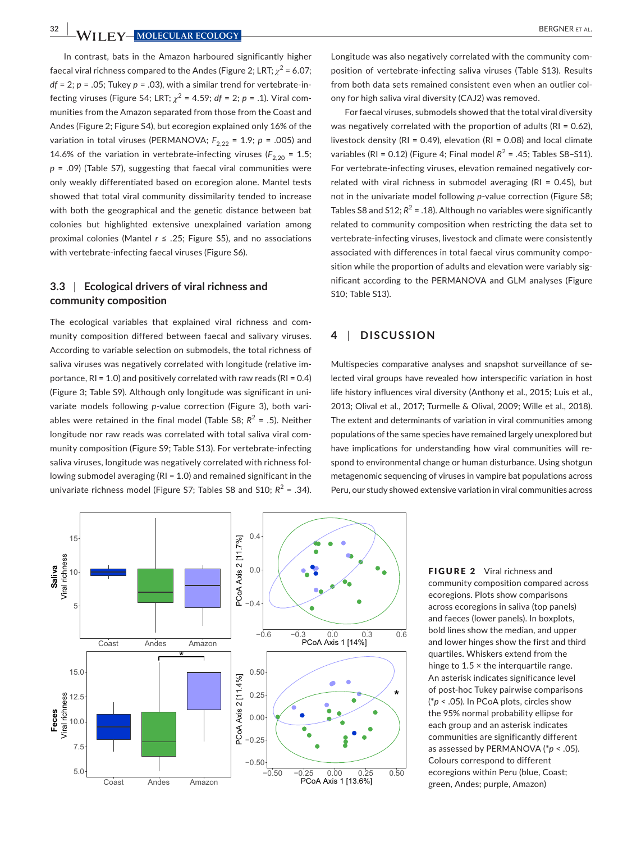**32 WII FY-MOLECULAR ECOLOGY** 

In contrast, bats in the Amazon harboured significantly higher faecal viral richness compared to the Andes (Figure 2; LRT;  $\chi^2$  = 6.07;  $df = 2$ ;  $p = .05$ ; Tukey  $p = .03$ ), with a similar trend for vertebrate-infecting viruses (Figure S4; LRT;  $\chi^2$  = 4.59; *df* = 2; *p* = .1). Viral communities from the Amazon separated from those from the Coast and Andes (Figure 2; Figure S4), but ecoregion explained only 16% of the variation in total viruses (PERMANOVA;  $F_{2,22} = 1.9$ ;  $p = .005$ ) and 14.6% of the variation in vertebrate-infecting viruses ( $F_{2,20}$  = 1.5; *p* = .09) (Table S7), suggesting that faecal viral communities were only weakly differentiated based on ecoregion alone. Mantel tests showed that total viral community dissimilarity tended to increase with both the geographical and the genetic distance between bat colonies but highlighted extensive unexplained variation among proximal colonies (Mantel *r* ≤ .25; Figure S5), and no associations with vertebrate-infecting faecal viruses (Figure S6).

# **3.3** | **Ecological drivers of viral richness and community composition**

The ecological variables that explained viral richness and com‐ munity composition differed between faecal and salivary viruses. According to variable selection on submodels, the total richness of saliva viruses was negatively correlated with longitude (relative importance, RI = 1.0) and positively correlated with raw reads (RI = 0.4) (Figure 3; Table S9). Although only longitude was significant in uni‐ variate models following *p*-value correction (Figure 3), both variables were retained in the final model (Table S8;  $R^2 = .5$ ). Neither longitude nor raw reads was correlated with total saliva viral com‐ munity composition (Figure S9; Table S13). For vertebrate‐infecting saliva viruses, longitude was negatively correlated with richness fol‐ lowing submodel averaging (RI = 1.0) and remained significant in the univariate richness model (Figure S7; Tables S8 and S10;  $R^2$  = .34).

Longitude was also negatively correlated with the community com‐ position of vertebrate‐infecting saliva viruses (Table S13). Results from both data sets remained consistent even when an outlier col‐ ony for high saliva viral diversity (CAJ2) was removed.

For faecal viruses, submodels showed that the total viral diversity was negatively correlated with the proportion of adults (RI = 0.62), livestock density (RI = 0.49), elevation (RI = 0.08) and local climate variables (RI = 0.12) (Figure 4: Final model  $R^2$  = .45: Tables S8-S11). For vertebrate-infecting viruses, elevation remained negatively correlated with viral richness in submodel averaging (RI =  $0.45$ ), but not in the univariate model following *p*-value correction (Figure S8; Tables S8 and S12;  $R^2$  = .18). Although no variables were significantly related to community composition when restricting the data set to vertebrate‐infecting viruses, livestock and climate were consistently associated with differences in total faecal virus community compo‐ sition while the proportion of adults and elevation were variably significant according to the PERMANOVA and GLM analyses (Figure S10; Table S13).

# **4** | **DISCUSSION**

Multispecies comparative analyses and snapshot surveillance of se‐ lected viral groups have revealed how interspecific variation in host life history influences viral diversity (Anthony et al., 2015; Luis et al., 2013; Olival et al., 2017; Turmelle & Olival, 2009; Wille et al., 2018). The extent and determinants of variation in viral communities among populations of the same species have remained largely unexplored but have implications for understanding how viral communities will re‐ spond to environmental change or human disturbance. Using shotgun metagenomic sequencing of viruses in vampire bat populations across Peru, our study showed extensive variation in viral communities across



FIGURE 2 Viral richness and community composition compared across ecoregions. Plots show comparisons across ecoregions in saliva (top panels) and faeces (lower panels). In boxplots, bold lines show the median, and upper and lower hinges show the first and third quartiles. Whiskers extend from the hinge to  $1.5 \times$  the interquartile range. An asterisk indicates significance level of post‐hoc Tukey pairwise comparisons (\**p* < .05). In PCoA plots, circles show the 95% normal probability ellipse for each group and an asterisk indicates communities are significantly different as assessed by PERMANOVA (\**p* < .05). Colours correspond to different ecoregions within Peru (blue, Coast; green, Andes; purple, Amazon)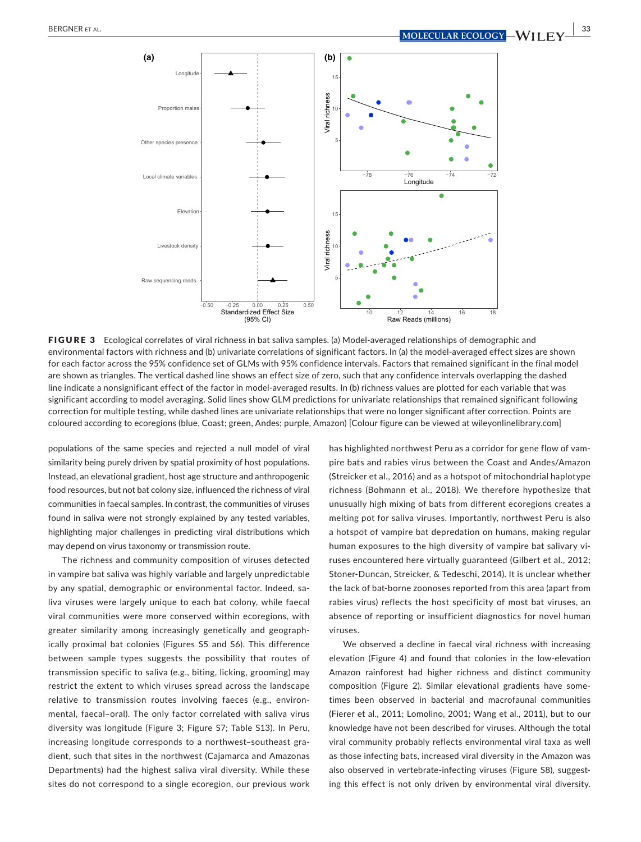

FIGURE 3 Ecological correlates of viral richness in bat saliva samples. (a) Model-averaged relationships of demographic and environmental factors with richness and (b) univariate correlations of significant factors. In (a) the model-averaged effect sizes are shown for each factor across the 95% confidence set of GLMs with 95% confidence intervals. Factors that remained significant in the final model are shown as triangles. The vertical dashed line shows an effect size of zero, such that any confidence intervals overlapping the dashed line indicate a nonsignificant effect of the factor in model-averaged results. In (b) richness values are plotted for each variable that was significant according to model averaging. Solid lines show GLM predictions for univariate relationships that remained significant following correction for multiple testing, while dashed lines are univariate relationships that were no longer significant after correction. Points are coloured according to ecoregions (blue, Coast; green, Andes; purple, Amazon) [Colour figure can be viewed at [wileyonlinelibrary.com\]](www.wileyonlinelibrary.com)

populations of the same species and rejected a null model of viral similarity being purely driven by spatial proximity of host populations. Instead, an elevational gradient, host age structure and anthropogenic food resources, but not bat colony size, influenced the richness of viral communities in faecal samples. In contrast, the communities of viruses found in saliva were not strongly explained by any tested variables, highlighting major challenges in predicting viral distributions which may depend on virus taxonomy or transmission route.

The richness and community composition of viruses detected in vampire bat saliva was highly variable and largely unpredictable by any spatial, demographic or environmental factor. Indeed, saliva viruses were largely unique to each bat colony, while faecal viral communities were more conserved within ecoregions, with greater similarity among increasingly genetically and geograph‐ ically proximal bat colonies (Figures S5 and S6). This difference between sample types suggests the possibility that routes of transmission specific to saliva (e.g., biting, licking, grooming) may restrict the extent to which viruses spread across the landscape relative to transmission routes involving faeces (e.g., environ‐ mental, faecal–oral). The only factor correlated with saliva virus diversity was longitude (Figure 3; Figure S7; Table S13). In Peru, increasing longitude corresponds to a northwest-southeast gradient, such that sites in the northwest (Cajamarca and Amazonas Departments) had the highest saliva viral diversity. While these sites do not correspond to a single ecoregion, our previous work has highlighted northwest Peru as a corridor for gene flow of vam‐ pire bats and rabies virus between the Coast and Andes/Amazon (Streicker et al., 2016) and as a hotspot of mitochondrial haplotype richness (Bohmann et al., 2018). We therefore hypothesize that unusually high mixing of bats from different ecoregions creates a melting pot for saliva viruses. Importantly, northwest Peru is also a hotspot of vampire bat depredation on humans, making regular human exposures to the high diversity of vampire bat salivary vi‐ ruses encountered here virtually guaranteed (Gilbert et al., 2012; Stoner‐Duncan, Streicker, & Tedeschi, 2014). It is unclear whether the lack of bat‐borne zoonoses reported from this area (apart from rabies virus) reflects the host specificity of most bat viruses, an absence of reporting or insufficient diagnostics for novel human viruses.

We observed a decline in faecal viral richness with increasing elevation (Figure 4) and found that colonies in the low-elevation Amazon rainforest had higher richness and distinct community composition (Figure 2). Similar elevational gradients have some‐ times been observed in bacterial and macrofaunal communities (Fierer et al., 2011; Lomolino, 2001; Wang et al., 2011), but to our knowledge have not been described for viruses. Although the total viral community probably reflects environmental viral taxa as well as those infecting bats, increased viral diversity in the Amazon was also observed in vertebrate-infecting viruses (Figure S8), suggesting this effect is not only driven by environmental viral diversity.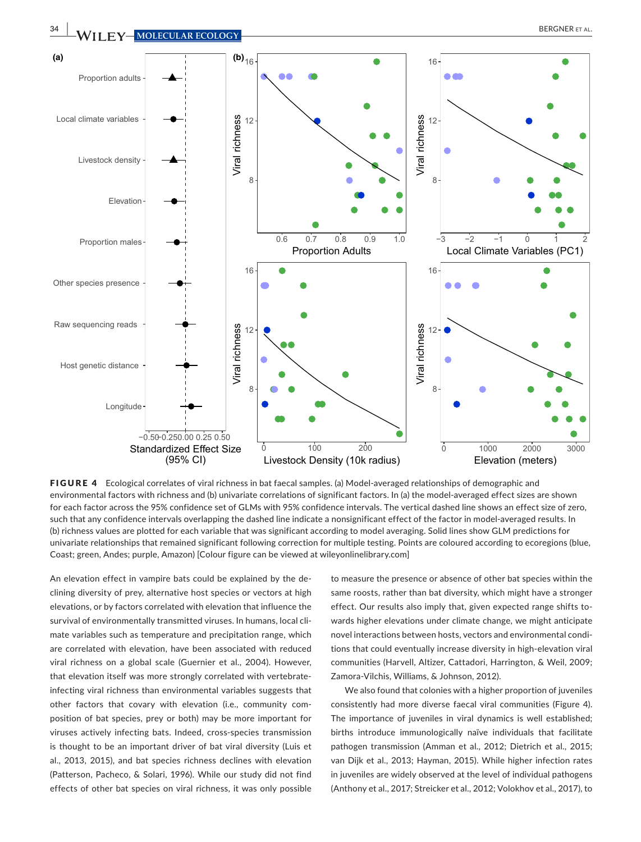

FIGURE 4 Ecological correlates of viral richness in bat faecal samples. (a) Model-averaged relationships of demographic and environmental factors with richness and (b) univariate correlations of significant factors. In (a) the model-averaged effect sizes are shown for each factor across the 95% confidence set of GLMs with 95% confidence intervals. The vertical dashed line shows an effect size of zero, such that any confidence intervals overlapping the dashed line indicate a nonsignificant effect of the factor in model-averaged results. In (b) richness values are plotted for each variable that was significant according to model averaging. Solid lines show GLM predictions for univariate relationships that remained significant following correction for multiple testing. Points are coloured according to ecoregions (blue, Coast; green, Andes; purple, Amazon) [Colour figure can be viewed at [wileyonlinelibrary.com\]](www.wileyonlinelibrary.com)

An elevation effect in vampire bats could be explained by the de‐ clining diversity of prey, alternative host species or vectors at high elevations, or by factors correlated with elevation that influence the survival of environmentally transmitted viruses. In humans, local climate variables such as temperature and precipitation range, which are correlated with elevation, have been associated with reduced viral richness on a global scale (Guernier et al., 2004). However, that elevation itself was more strongly correlated with vertebrate‐ infecting viral richness than environmental variables suggests that other factors that covary with elevation (i.e., community composition of bat species, prey or both) may be more important for viruses actively infecting bats. Indeed, cross‐species transmission is thought to be an important driver of bat viral diversity (Luis et al., 2013, 2015), and bat species richness declines with elevation (Patterson, Pacheco, & Solari, 1996). While our study did not find effects of other bat species on viral richness, it was only possible

to measure the presence or absence of other bat species within the same roosts, rather than bat diversity, which might have a stronger effect. Our results also imply that, given expected range shifts towards higher elevations under climate change, we might anticipate novel interactions between hosts, vectors and environmental condi‐ tions that could eventually increase diversity in high‐elevation viral communities (Harvell, Altizer, Cattadori, Harrington, & Weil, 2009; Zamora‐Vilchis, Williams, & Johnson, 2012).

We also found that colonies with a higher proportion of juveniles consistently had more diverse faecal viral communities (Figure 4). The importance of juveniles in viral dynamics is well established; births introduce immunologically naïve individuals that facilitate pathogen transmission (Amman et al., 2012; Dietrich et al., 2015; van Dijk et al., 2013; Hayman, 2015). While higher infection rates in juveniles are widely observed at the level of individual pathogens (Anthony et al., 2017; Streicker et al., 2012; Volokhov et al., 2017), to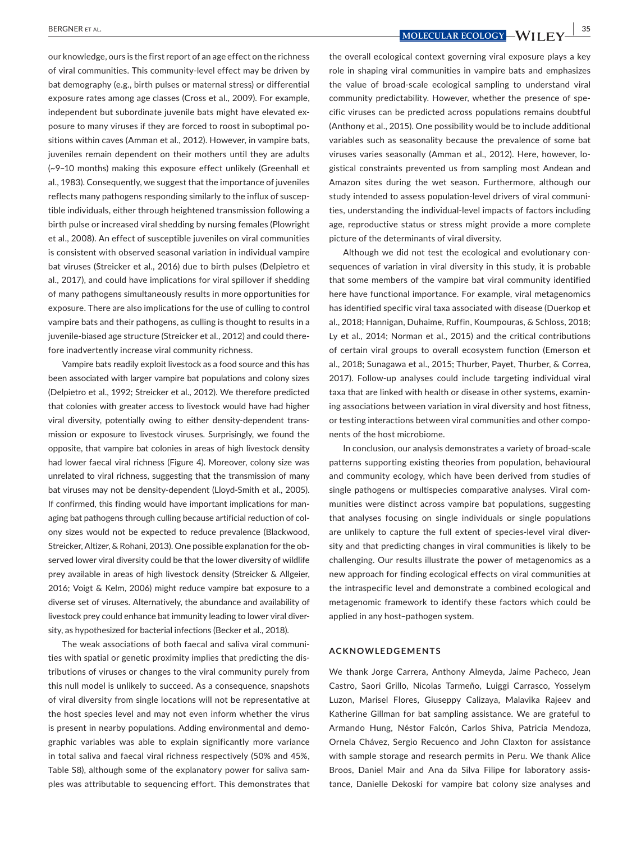our knowledge, ours is the first report of an age effect on the richness of viral communities. This community‐level effect may be driven by bat demography (e.g., birth pulses or maternal stress) or differential exposure rates among age classes (Cross et al., 2009). For example, independent but subordinate juvenile bats might have elevated exposure to many viruses if they are forced to roost in suboptimal po‐ sitions within caves (Amman et al., 2012). However, in vampire bats, juveniles remain dependent on their mothers until they are adults (~9–10 months) making this exposure effect unlikely (Greenhall et al., 1983). Consequently, we suggest that the importance of juveniles reflects many pathogens responding similarly to the influx of suscep‐ tible individuals, either through heightened transmission following a birth pulse or increased viral shedding by nursing females (Plowright et al., 2008). An effect of susceptible juveniles on viral communities is consistent with observed seasonal variation in individual vampire bat viruses (Streicker et al., 2016) due to birth pulses (Delpietro et al., 2017), and could have implications for viral spillover if shedding of many pathogens simultaneously results in more opportunities for exposure. There are also implications for the use of culling to control vampire bats and their pathogens, as culling is thought to results in a juvenile-biased age structure (Streicker et al., 2012) and could therefore inadvertently increase viral community richness.

Vampire bats readily exploit livestock as a food source and this has been associated with larger vampire bat populations and colony sizes (Delpietro et al., 1992; Streicker et al., 2012). We therefore predicted that colonies with greater access to livestock would have had higher viral diversity, potentially owing to either density-dependent transmission or exposure to livestock viruses. Surprisingly, we found the opposite, that vampire bat colonies in areas of high livestock density had lower faecal viral richness (Figure 4). Moreover, colony size was unrelated to viral richness, suggesting that the transmission of many bat viruses may not be density‐dependent (Lloyd‐Smith et al., 2005). If confirmed, this finding would have important implications for man‐ aging bat pathogens through culling because artificial reduction of col‐ ony sizes would not be expected to reduce prevalence (Blackwood, Streicker, Altizer, & Rohani, 2013). One possible explanation for the ob‐ served lower viral diversity could be that the lower diversity of wildlife prey available in areas of high livestock density (Streicker & Allgeier, 2016; Voigt & Kelm, 2006) might reduce vampire bat exposure to a diverse set of viruses. Alternatively, the abundance and availability of livestock prey could enhance bat immunity leading to lower viral diver‐ sity, as hypothesized for bacterial infections (Becker et al., 2018).

The weak associations of both faecal and saliva viral communi‐ ties with spatial or genetic proximity implies that predicting the dis‐ tributions of viruses or changes to the viral community purely from this null model is unlikely to succeed. As a consequence, snapshots of viral diversity from single locations will not be representative at the host species level and may not even inform whether the virus is present in nearby populations. Adding environmental and demographic variables was able to explain significantly more variance in total saliva and faecal viral richness respectively (50% and 45%, Table S8), although some of the explanatory power for saliva sam‐ ples was attributable to sequencing effort. This demonstrates that

 **BERGNER ET AL. 35**<br>**MOLECULAR ECOLOGY** - WILLEY

the overall ecological context governing viral exposure plays a key role in shaping viral communities in vampire bats and emphasizes the value of broad‐scale ecological sampling to understand viral community predictability. However, whether the presence of spe‐ cific viruses can be predicted across populations remains doubtful (Anthony et al., 2015). One possibility would be to include additional variables such as seasonality because the prevalence of some bat viruses varies seasonally (Amman et al., 2012). Here, however, logistical constraints prevented us from sampling most Andean and Amazon sites during the wet season. Furthermore, although our study intended to assess population‐level drivers of viral communi‐ ties, understanding the individual‐level impacts of factors including age, reproductive status or stress might provide a more complete picture of the determinants of viral diversity.

Although we did not test the ecological and evolutionary con‐ sequences of variation in viral diversity in this study, it is probable that some members of the vampire bat viral community identified here have functional importance. For example, viral metagenomics has identified specific viral taxa associated with disease (Duerkop et al., 2018; Hannigan, Duhaime, Ruffin, Koumpouras, & Schloss, 2018; Ly et al., 2014; Norman et al., 2015) and the critical contributions of certain viral groups to overall ecosystem function (Emerson et al., 2018; Sunagawa et al., 2015; Thurber, Payet, Thurber, & Correa, 2017). Follow‐up analyses could include targeting individual viral taxa that are linked with health or disease in other systems, examin‐ ing associations between variation in viral diversity and host fitness, or testing interactions between viral communities and other compo‐ nents of the host microbiome.

In conclusion, our analysis demonstrates a variety of broad‐scale patterns supporting existing theories from population, behavioural and community ecology, which have been derived from studies of single pathogens or multispecies comparative analyses. Viral com‐ munities were distinct across vampire bat populations, suggesting that analyses focusing on single individuals or single populations are unlikely to capture the full extent of species-level viral diversity and that predicting changes in viral communities is likely to be challenging. Our results illustrate the power of metagenomics as a new approach for finding ecological effects on viral communities at the intraspecific level and demonstrate a combined ecological and metagenomic framework to identify these factors which could be applied in any host–pathogen system.

#### **ACKNOWLEDGEMENTS**

We thank Jorge Carrera, Anthony Almeyda, Jaime Pacheco, Jean Castro, Saori Grillo, Nicolas Tarmeño, Luiggi Carrasco, Yosselym Luzon, Marisel Flores, Giuseppy Calizaya, Malavika Rajeev and Katherine Gillman for bat sampling assistance. We are grateful to Armando Hung, Néstor Falcón, Carlos Shiva, Patricia Mendoza, Ornela Chávez, Sergio Recuenco and John Claxton for assistance with sample storage and research permits in Peru. We thank Alice Broos, Daniel Mair and Ana da Silva Filipe for laboratory assis‐ tance, Danielle Dekoski for vampire bat colony size analyses and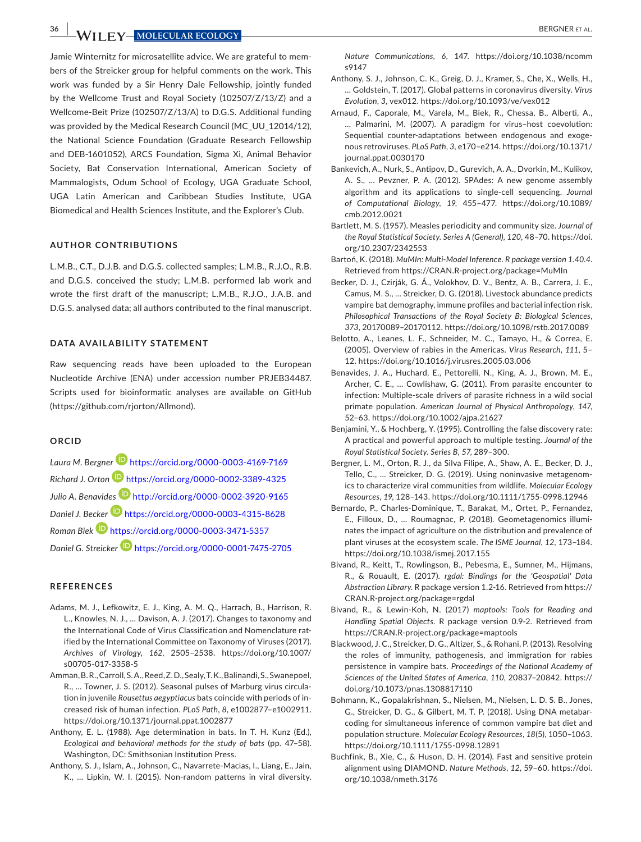**36 |**  BERGNER et al.

Jamie Winternitz for microsatellite advice. We are grateful to mem‐ bers of the Streicker group for helpful comments on the work. This work was funded by a Sir Henry Dale Fellowship, jointly funded by the Wellcome Trust and Royal Society (102507/Z/13/Z) and a Wellcome‐Beit Prize (102507/Z/13/A) to D.G.S. Additional funding was provided by the Medical Research Council (MC\_UU\_12014/12), the National Science Foundation (Graduate Research Fellowship and DEB‐1601052), ARCS Foundation, Sigma Xi, Animal Behavior Society, Bat Conservation International, American Society of Mammalogists, Odum School of Ecology, UGA Graduate School, UGA Latin American and Caribbean Studies Institute, UGA Biomedical and Health Sciences Institute, and the Explorer's Club.

#### **AUTHOR CONTRIBUTIONS**

L.M.B., C.T., D.J.B. and D.G.S. collected samples; L.M.B., R.J.O., R.B. and D.G.S. conceived the study; L.M.B. performed lab work and wrote the first draft of the manuscript; L.M.B., R.J.O., J.A.B. and D.G.S. analysed data; all authors contributed to the final manuscript.

#### **DATA AVAILABILITY STATEMENT**

Raw sequencing reads have been uploaded to the European Nucleotide Archive (ENA) under accession number [PRJEB34487.](info:ddbj-embl-genbank/PRJEB34487) Scripts used for bioinformatic analyses are available on GitHub (<https://github.com/rjorton/Allmond>).

#### **ORCID**

*Laura M. Bergner* <https://orcid.org/0000-0003-4169-7169> *Richard J. Orton* <https://orcid.org/0000-0002-3389-4325> *Julio A. Benavide[s](http://orcid.org/0000-0002-3920-9165)* <http://orcid.org/0000-0002-3920-9165> *Daniel J. Becke[r](https://orcid.org/0000-0003-4315-8628)* <https://orcid.org/0000-0003-4315-8628> *Roman Biek* <https://orcid.org/0000-0003-3471-5357> *Daniel G. Streicker* <https://orcid.org/0000-0001-7475-2705>

#### **REFERENCES**

- Adams, M. J., Lefkowitz, E. J., King, A. M. Q., Harrach, B., Harrison, R. L., Knowles, N. J., … Davison, A. J. (2017). Changes to taxonomy and the International Code of Virus Classification and Nomenclature rat‐ ified by the International Committee on Taxonomy of Viruses (2017). *Archives of Virology*, *162*, 2505–2538. [https://doi.org/10.1007/](https://doi.org/10.1007/s00705-017-3358-5) [s00705-017-3358-5](https://doi.org/10.1007/s00705-017-3358-5)
- Amman, B. R., Carroll, S. A., Reed, Z. D., Sealy, T. K., Balinandi, S., Swanepoel, R., … Towner, J. S. (2012). Seasonal pulses of Marburg virus circula‐ tion in juvenile *Rousettus aegyptiacus* bats coincide with periods of in‐ creased risk of human infection. *PLoS Path*, *8*, e1002877–e1002911. <https://doi.org/10.1371/journal.ppat.1002877>
- Anthony, E. L. (1988). Age determination in bats. In T. H. Kunz (Ed.), *Ecological and behavioral methods for the study of bats* (pp. 47–58). Washington, DC: Smithsonian Institution Press.
- Anthony, S. J., Islam, A., Johnson, C., Navarrete‐Macias, I., Liang, E., Jain, K., … Lipkin, W. I. (2015). Non‐random patterns in viral diversity.

*Nature Communications*, *6*, 147. [https://doi.org/10.1038/ncomm](https://doi.org/10.1038/ncomms9147) [s9147](https://doi.org/10.1038/ncomms9147)

- Anthony, S. J., Johnson, C. K., Greig, D. J., Kramer, S., Che, X., Wells, H., … Goldstein, T. (2017). Global patterns in coronavirus diversity. *Virus Evolution*, *3*, vex012.<https://doi.org/10.1093/ve/vex012>
- Arnaud, F., Caporale, M., Varela, M., Biek, R., Chessa, B., Alberti, A., … Palmarini, M. (2007). A paradigm for virus–host coevolution: Sequential counter-adaptations between endogenous and exogenous retroviruses. *PLoS Path*, *3*, e170–e214. [https://doi.org/10.1371/](https://doi.org/10.1371/journal.ppat.0030170) [journal.ppat.0030170](https://doi.org/10.1371/journal.ppat.0030170)
- Bankevich, A., Nurk, S., Antipov, D., Gurevich, A. A., Dvorkin, M., Kulikov, A. S., … Pevzner, P. A. (2012). SPAdes: A new genome assembly algorithm and its applications to single‐cell sequencing. *Journal of Computational Biology*, *19*, 455–477. [https://doi.org/10.1089/](https://doi.org/10.1089/cmb.2012.0021) [cmb.2012.0021](https://doi.org/10.1089/cmb.2012.0021)
- Bartlett, M. S. (1957). Measles periodicity and community size. *Journal of the Royal Statistical Society. Series A (General)*, *120*, 48–70. [https://doi.](https://doi.org/10.2307/2342553) [org/10.2307/2342553](https://doi.org/10.2307/2342553)
- Bartoń, K. (2018). *MuMIn: Multi‐Model Inference. R package version 1.40.4*. Retrieved from<https://CRAN.R-project.org/package=MuMIn>
- Becker, D. J., Czirják, G. Á., Volokhov, D. V., Bentz, A. B., Carrera, J. E., Camus, M. S., … Streicker, D. G. (2018). Livestock abundance predicts vampire bat demography, immune profiles and bacterial infection risk. *Philosophical Transactions of the Royal Society B: Biological Sciences*, *373*, 20170089–20170112.<https://doi.org/10.1098/rstb.2017.0089>
- Belotto, A., Leanes, L. F., Schneider, M. C., Tamayo, H., & Correa, E. (2005). Overview of rabies in the Americas. *Virus Research*, *111*, 5– 12.<https://doi.org/10.1016/j.virusres.2005.03.006>
- Benavides, J. A., Huchard, E., Pettorelli, N., King, A. J., Brown, M. E., Archer, C. E., … Cowlishaw, G. (2011). From parasite encounter to infection: Multiple‐scale drivers of parasite richness in a wild social primate population. *American Journal of Physical Anthropology*, *147*, 52–63. <https://doi.org/10.1002/ajpa.21627>
- Benjamini, Y., & Hochberg, Y. (1995). Controlling the false discovery rate: A practical and powerful approach to multiple testing. *Journal of the Royal Statistical Society. Series B*, *57*, 289–300.
- Bergner, L. M., Orton, R. J., da Silva Filipe, A., Shaw, A. E., Becker, D. J., Tello, C., … Streicker, D. G. (2019). Using noninvasive metagenom‐ ics to characterize viral communities from wildlife. *Molecular Ecology Resources*, *19*, 128–143. <https://doi.org/10.1111/1755-0998.12946>
- Bernardo, P., Charles‐Dominique, T., Barakat, M., Ortet, P., Fernandez, E., Filloux, D., … Roumagnac, P. (2018). Geometagenomics illumi‐ nates the impact of agriculture on the distribution and prevalence of plant viruses at the ecosystem scale. *The ISME Journal*, *12*, 173–184. <https://doi.org/10.1038/ismej.2017.155>
- Bivand, R., Keitt, T., Rowlingson, B., Pebesma, E., Sumner, M., Hijmans, R., & Rouault, E. (2017). *rgdal: Bindings for the 'Geospatial' Data Abstraction Library*. R package version 1.2‐16. Retrieved from [https://](https://CRAN.R-project.org/package=rgdal) [CRAN.R-project.org/package=rgdal](https://CRAN.R-project.org/package=rgdal)
- Bivand, R., & Lewin‐Koh, N. (2017) *maptools: Tools for Reading and Handling Spatial Objects*. R package version 0.9‐2. Retrieved from <https://CRAN.R-project.org/package=maptools>
- Blackwood, J. C., Streicker, D. G., Altizer, S., & Rohani, P. (2013). Resolving the roles of immunity, pathogenesis, and immigration for rabies persistence in vampire bats. *Proceedings of the National Academy of Sciences of the United States of America*, *110*, 20837–20842. [https://](https://doi.org/10.1073/pnas.1308817110) [doi.org/10.1073/pnas.1308817110](https://doi.org/10.1073/pnas.1308817110)
- Bohmann, K., Gopalakrishnan, S., Nielsen, M., Nielsen, L. D. S. B., Jones, G., Streicker, D. G., & Gilbert, M. T. P. (2018). Using DNA metabar‐ coding for simultaneous inference of common vampire bat diet and population structure. *Molecular Ecology Resources*, *18*(5), 1050–1063. <https://doi.org/10.1111/1755-0998.12891>
- Buchfink, B., Xie, C., & Huson, D. H. (2014). Fast and sensitive protein alignment using DIAMOND. *Nature Methods*, *12*, 59–60. [https://doi.](https://doi.org/10.1038/nmeth.3176) [org/10.1038/nmeth.3176](https://doi.org/10.1038/nmeth.3176)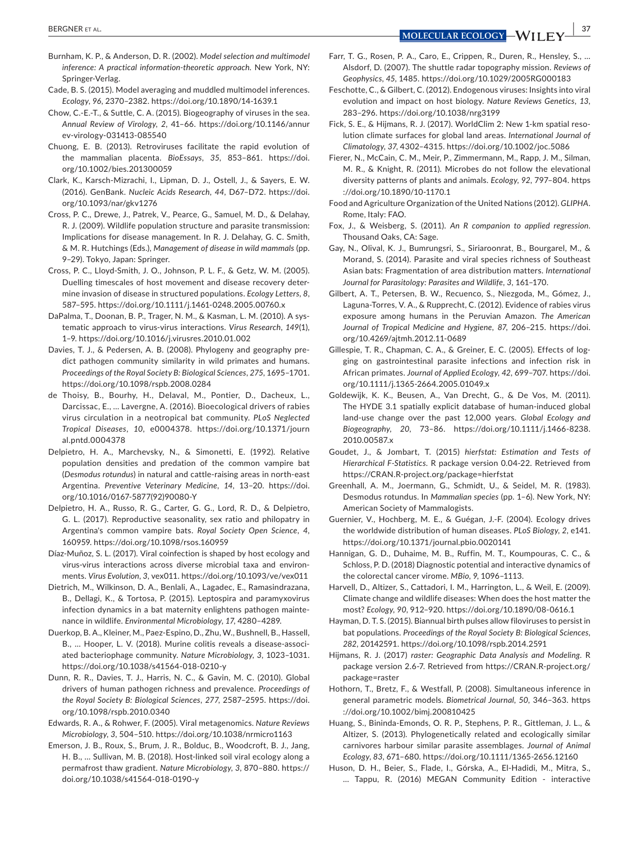- Burnham, K. P., & Anderson, D. R. (2002). *Model selection and multimodel inference: A practical information‐theoretic approach*. New York, NY: Springer‐Verlag.
- Cade, B. S. (2015). Model averaging and muddled multimodel inferences. *Ecology*, *96*, 2370–2382. <https://doi.org/10.1890/14-1639.1>
- Chow, C.‐E.‐T., & Suttle, C. A. (2015). Biogeography of viruses in the sea. *Annual Review of Virology*, *2*, 41–66. [https://doi.org/10.1146/annur](https://doi.org/10.1146/annurev-virology-031413-085540) [ev-virology-031413-085540](https://doi.org/10.1146/annurev-virology-031413-085540)
- Chuong, E. B. (2013). Retroviruses facilitate the rapid evolution of the mammalian placenta. *BioEssays*, *35*, 853–861. [https://doi.](https://doi.org/10.1002/bies.201300059) [org/10.1002/bies.201300059](https://doi.org/10.1002/bies.201300059)
- Clark, K., Karsch‐Mizrachi, I., Lipman, D. J., Ostell, J., & Sayers, E. W. (2016). GenBank. *Nucleic Acids Research*, *44*, D67–D72. [https://doi.](https://doi.org/10.1093/nar/gkv1276) [org/10.1093/nar/gkv1276](https://doi.org/10.1093/nar/gkv1276)
- Cross, P. C., Drewe, J., Patrek, V., Pearce, G., Samuel, M. D., & Delahay, R. J. (2009). Wildlife population structure and parasite transmission: Implications for disease management. In R. J. Delahay, G. C. Smith, & M. R. Hutchings (Eds.), *Management of disease in wild mammals* (pp. 9–29). Tokyo, Japan: Springer.
- Cross, P. C., Lloyd‐Smith, J. O., Johnson, P. L. F., & Getz, W. M. (2005). Duelling timescales of host movement and disease recovery deter‐ mine invasion of disease in structured populations. *Ecology Letters*, *8*, 587–595.<https://doi.org/10.1111/j.1461-0248.2005.00760.x>
- DaPalma, T., Doonan, B. P., Trager, N. M., & Kasman, L. M. (2010). A sys‐ tematic approach to virus‐virus interactions. *Virus Research*, *149*(1), 1–9.<https://doi.org/10.1016/j.virusres.2010.01.002>
- Davies, T. J., & Pedersen, A. B. (2008). Phylogeny and geography pre‐ dict pathogen community similarity in wild primates and humans. *Proceedings of the Royal Society B: Biological Sciences*, *275*, 1695–1701. <https://doi.org/10.1098/rspb.2008.0284>
- de Thoisy, B., Bourhy, H., Delaval, M., Pontier, D., Dacheux, L., Darcissac, E., … Lavergne, A. (2016). Bioecological drivers of rabies virus circulation in a neotropical bat community. *PLoS Neglected Tropical Diseases*, *10*, e0004378. [https://doi.org/10.1371/journ](https://doi.org/10.1371/journal.pntd.0004378) [al.pntd.0004378](https://doi.org/10.1371/journal.pntd.0004378)
- Delpietro, H. A., Marchevsky, N., & Simonetti, E. (1992). Relative population densities and predation of the common vampire bat (*Desmodus rotundus*) in natural and cattle‐raising areas in north‐east Argentina. *Preventive Veterinary Medicine*, *14*, 13–20. [https://doi.](https://doi.org/10.1016/0167-5877(92)90080-Y) [org/10.1016/0167-5877\(92\)90080-Y](https://doi.org/10.1016/0167-5877(92)90080-Y)
- Delpietro, H. A., Russo, R. G., Carter, G. G., Lord, R. D., & Delpietro, G. L. (2017). Reproductive seasonality, sex ratio and philopatry in Argentina's common vampire bats. *Royal Society Open Science*, *4*, 160959.<https://doi.org/10.1098/rsos.160959>
- Díaz‐Muñoz, S. L. (2017). Viral coinfection is shaped by host ecology and virus‐virus interactions across diverse microbial taxa and environ‐ ments. *Virus Evolution*, *3*, vex011. <https://doi.org/10.1093/ve/vex011>
- Dietrich, M., Wilkinson, D. A., Benlali, A., Lagadec, E., Ramasindrazana, B., Dellagi, K., & Tortosa, P. (2015). Leptospira and paramyxovirus infection dynamics in a bat maternity enlightens pathogen mainte‐ nance in wildlife. *Environmental Microbiology*, *17*, 4280–4289.
- Duerkop, B. A., Kleiner, M., Paez‐Espino, D., Zhu, W., Bushnell, B., Hassell, B., … Hooper, L. V. (2018). Murine colitis reveals a disease‐associ‐ ated bacteriophage community. *Nature Microbiology*, *3*, 1023–1031. <https://doi.org/10.1038/s41564-018-0210-y>
- Dunn, R. R., Davies, T. J., Harris, N. C., & Gavin, M. C. (2010). Global drivers of human pathogen richness and prevalence. *Proceedings of the Royal Society B: Biological Sciences*, *277*, 2587–2595. [https://doi.](https://doi.org/10.1098/rspb.2010.0340) [org/10.1098/rspb.2010.0340](https://doi.org/10.1098/rspb.2010.0340)
- Edwards, R. A., & Rohwer, F. (2005). Viral metagenomics. *Nature Reviews Microbiology*, *3*, 504–510. <https://doi.org/10.1038/nrmicro1163>
- Emerson, J. B., Roux, S., Brum, J. R., Bolduc, B., Woodcroft, B. J., Jang, H. B., … Sullivan, M. B. (2018). Host‐linked soil viral ecology along a permafrost thaw gradient. *Nature Microbiology*, *3*, 870–880. [https://](https://doi.org/10.1038/s41564-018-0190-y) [doi.org/10.1038/s41564-018-0190-y](https://doi.org/10.1038/s41564-018-0190-y)
- Farr, T. G., Rosen, P. A., Caro, E., Crippen, R., Duren, R., Hensley, S., … Alsdorf, D. (2007). The shuttle radar topography mission. *Reviews of Geophysics*, *45*, 1485. <https://doi.org/10.1029/2005RG000183>
- Feschotte, C., & Gilbert, C. (2012). Endogenous viruses: Insights into viral evolution and impact on host biology. *Nature Reviews Genetics*, *13*, 283–296. <https://doi.org/10.1038/nrg3199>
- Fick, S. E., & Hijmans, R. J. (2017). WorldClim 2: New 1‐km spatial reso‐ lution climate surfaces for global land areas. *International Journal of Climatology*, *37*, 4302–4315.<https://doi.org/10.1002/joc.5086>
- Fierer, N., McCain, C. M., Meir, P., Zimmermann, M., Rapp, J. M., Silman, M. R., & Knight, R. (2011). Microbes do not follow the elevational diversity patterns of plants and animals. *Ecology*, *92*, 797–804. [https](https://doi.org/10.1890/10-1170.1) [://doi.org/10.1890/10-1170.1](https://doi.org/10.1890/10-1170.1)
- Food and Agriculture Organization of the United Nations (2012). *GLIPHA*. Rome, Italy: FAO.
- Fox, J., & Weisberg, S. (2011). *An R companion to applied regression*. Thousand Oaks, CA: Sage.
- Gay, N., Olival, K. J., Bumrungsri, S., Siriaroonrat, B., Bourgarel, M., & Morand, S. (2014). Parasite and viral species richness of Southeast Asian bats: Fragmentation of area distribution matters. *International Journal for Parasitology: Parasites and Wildlife*, *3*, 161–170.
- Gilbert, A. T., Petersen, B. W., Recuenco, S., Niezgoda, M., Gómez, J., Laguna‐Torres, V. A., & Rupprecht, C. (2012). Evidence of rabies virus exposure among humans in the Peruvian Amazon. *The American Journal of Tropical Medicine and Hygiene*, *87*, 206–215. [https://doi.](https://doi.org/10.4269/ajtmh.2012.11-0689) [org/10.4269/ajtmh.2012.11-0689](https://doi.org/10.4269/ajtmh.2012.11-0689)
- Gillespie, T. R., Chapman, C. A., & Greiner, E. C. (2005). Effects of log‐ ging on gastrointestinal parasite infections and infection risk in African primates. *Journal of Applied Ecology*, *42*, 699–707. [https://doi.](https://doi.org/10.1111/j.1365-2664.2005.01049.x) [org/10.1111/j.1365-2664.2005.01049.x](https://doi.org/10.1111/j.1365-2664.2005.01049.x)
- Goldewijk, K. K., Beusen, A., Van Drecht, G., & De Vos, M. (2011). The HYDE 3.1 spatially explicit database of human‐induced global land‐use change over the past 12,000 years. *Global Ecology and Biogeography*, *20*, 73–86. [https://doi.org/10.1111/j.1466-8238.](https://doi.org/10.1111/j.1466-8238.2010.00587.x) [2010.00587.x](https://doi.org/10.1111/j.1466-8238.2010.00587.x)
- Goudet, J., & Jombart, T. (2015) *hierfstat: Estimation and Tests of Hierarchical F‐Statistics*. R package version 0.04‐22. Retrieved from <https://CRAN.R-project.org/package=hierfstat>
- Greenhall, A. M., Joermann, G., Schmidt, U., & Seidel, M. R. (1983). Desmodus rotundus. In *Mammalian species* (pp. 1–6). New York, NY: American Society of Mammalogists.
- Guernier, V., Hochberg, M. E., & Guégan, J.‐F. (2004). Ecology drives the worldwide distribution of human diseases. *PLoS Biology*, *2*, e141. <https://doi.org/10.1371/journal.pbio.0020141>
- Hannigan, G. D., Duhaime, M. B., Ruffin, M. T., Koumpouras, C. C., & Schloss, P. D. (2018) Diagnostic potential and interactive dynamics of the colorectal cancer virome. *MBio*, *9*, 1096–1113.
- Harvell, D., Altizer, S., Cattadori, I. M., Harrington, L., & Weil, E. (2009). Climate change and wildlife diseases: When does the host matter the most? *Ecology*, *90*, 912–920.<https://doi.org/10.1890/08-0616.1>
- Hayman, D. T. S. (2015). Biannual birth pulses allow filoviruses to persist in bat populations. *Proceedings of the Royal Society B: Biological Sciences*, *282*, 20142591. <https://doi.org/10.1098/rspb.2014.2591>
- Hijmans, R. J. (2017) *raster: Geographic Data Analysis and Modeling*. R package version 2.6‐7. Retrieved from [https://CRAN.R-project.org/](https://CRAN.R-project.org/package=raster) [package=raster](https://CRAN.R-project.org/package=raster)
- Hothorn, T., Bretz, F., & Westfall, P. (2008). Simultaneous inference in general parametric models. *Biometrical Journal*, *50*, 346–363. [https](https://doi.org/10.1002/bimj.200810425) [://doi.org/10.1002/bimj.200810425](https://doi.org/10.1002/bimj.200810425)
- Huang, S., Bininda‐Emonds, O. R. P., Stephens, P. R., Gittleman, J. L., & Altizer, S. (2013). Phylogenetically related and ecologically similar carnivores harbour similar parasite assemblages. *Journal of Animal Ecology*, *83*, 671–680.<https://doi.org/10.1111/1365-2656.12160>
- Huson, D. H., Beier, S., Flade, I., Górska, A., El‐Hadidi, M., Mitra, S., … Tappu, R. (2016) MEGAN Community Edition ‐ interactive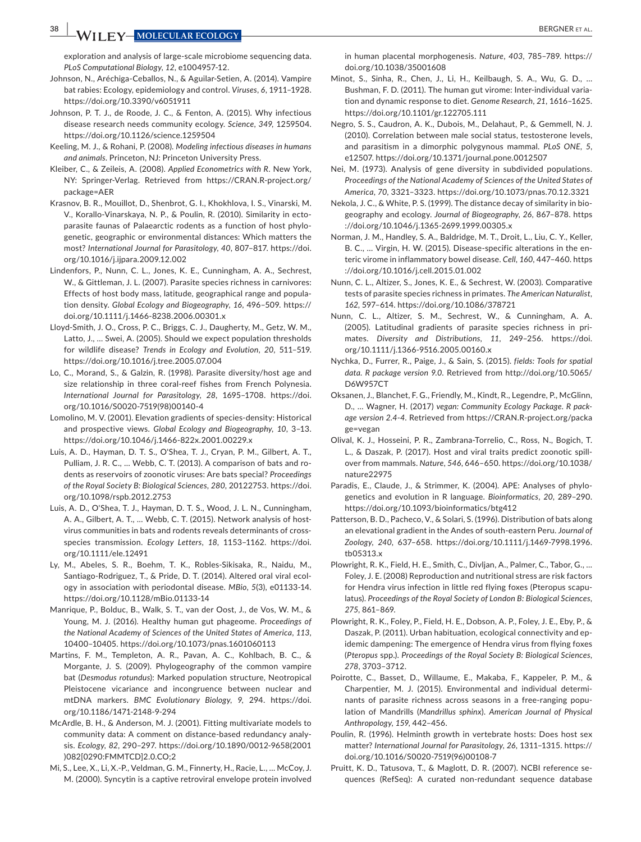exploration and analysis of large-scale microbiome sequencing data. *PLoS Computational Biology*, *12*, e1004957‐12.

- Johnson, N., Aréchiga‐Ceballos, N., & Aguilar‐Setien, A. (2014). Vampire bat rabies: Ecology, epidemiology and control. *Viruses*, *6*, 1911–1928. <https://doi.org/10.3390/v6051911>
- Johnson, P. T. J., de Roode, J. C., & Fenton, A. (2015). Why infectious disease research needs community ecology. *Science*, *349*, 1259504. <https://doi.org/10.1126/science.1259504>
- Keeling, M. J., & Rohani, P. (2008). *Modeling infectious diseases in humans and animals*. Princeton, NJ: Princeton University Press.
- Kleiber, C., & Zeileis, A. (2008). *Applied Econometrics with R*. New York, NY: Springer‐Verlag. Retrieved from [https://CRAN.R-project.org/](https://CRAN.R-project.org/package=AER) [package=AER](https://CRAN.R-project.org/package=AER)
- Krasnov, B. R., Mouillot, D., Shenbrot, G. I., Khokhlova, I. S., Vinarski, M. V., Korallo‐Vinarskaya, N. P., & Poulin, R. (2010). Similarity in ecto‐ parasite faunas of Palaearctic rodents as a function of host phylo‐ genetic, geographic or environmental distances: Which matters the most? *International Journal for Parasitology*, *40*, 807–817. [https://doi.](https://doi.org/10.1016/j.ijpara.2009.12.002) [org/10.1016/j.ijpara.2009.12.002](https://doi.org/10.1016/j.ijpara.2009.12.002)
- Lindenfors, P., Nunn, C. L., Jones, K. E., Cunningham, A. A., Sechrest, W., & Gittleman, J. L. (2007). Parasite species richness in carnivores: Effects of host body mass, latitude, geographical range and popula‐ tion density. *Global Ecology and Biogeography*, *16*, 496–509. [https://](https://doi.org/10.1111/j.1466-8238.2006.00301.x) [doi.org/10.1111/j.1466-8238.2006.00301.x](https://doi.org/10.1111/j.1466-8238.2006.00301.x)
- Lloyd‐Smith, J. O., Cross, P. C., Briggs, C. J., Daugherty, M., Getz, W. M., Latto, J., … Swei, A. (2005). Should we expect population thresholds for wildlife disease? *Trends in Ecology and Evolution*, *20*, 511–519. <https://doi.org/10.1016/j.tree.2005.07.004>
- Lo, C., Morand, S., & Galzin, R. (1998). Parasite diversity/host age and size relationship in three coral-reef fishes from French Polynesia. *International Journal for Parasitology*, *28*, 1695–1708. [https://doi.](https://doi.org/10.1016/S0020-7519(98)00140-4) [org/10.1016/S0020-7519\(98\)00140-4](https://doi.org/10.1016/S0020-7519(98)00140-4)
- Lomolino, M. V. (2001). Elevation gradients of species‐density: Historical and prospective views. *Global Ecology and Biogeography*, *10*, 3–13. <https://doi.org/10.1046/j.1466-822x.2001.00229.x>
- Luis, A. D., Hayman, D. T. S., O'Shea, T. J., Cryan, P. M., Gilbert, A. T., Pulliam, J. R. C., … Webb, C. T. (2013). A comparison of bats and ro‐ dents as reservoirs of zoonotic viruses: Are bats special? *Proceedings of the Royal Society B: Biological Sciences*, *280*, 20122753. [https://doi.](https://doi.org/10.1098/rspb.2012.2753) [org/10.1098/rspb.2012.2753](https://doi.org/10.1098/rspb.2012.2753)
- Luis, A. D., O'Shea, T. J., Hayman, D. T. S., Wood, J. L. N., Cunningham, A. A., Gilbert, A. T., ... Webb, C. T. (2015). Network analysis of hostvirus communities in bats and rodents reveals determinants of cross‐ species transmission. *Ecology Letters*, *18*, 1153–1162. [https://doi.](https://doi.org/10.1111/ele.12491) [org/10.1111/ele.12491](https://doi.org/10.1111/ele.12491)
- Ly, M., Abeles, S. R., Boehm, T. K., Robles‐Sikisaka, R., Naidu, M., Santiago‐Rodriguez, T., & Pride, D. T. (2014). Altered oral viral ecol‐ ogy in association with periodontal disease. *MBio*, *5*(3), e01133‐14. <https://doi.org/10.1128/mBio.01133-14>
- Manrique, P., Bolduc, B., Walk, S. T., van der Oost, J., de Vos, W. M., & Young, M. J. (2016). Healthy human gut phageome. *Proceedings of the National Academy of Sciences of the United States of America*, *113*, 10400–10405. <https://doi.org/10.1073/pnas.1601060113>
- Martins, F. M., Templeton, A. R., Pavan, A. C., Kohlbach, B. C., & Morgante, J. S. (2009). Phylogeography of the common vampire bat (*Desmodus rotundus*): Marked population structure, Neotropical Pleistocene vicariance and incongruence between nuclear and mtDNA markers. *BMC Evolutionary Biology*, *9*, 294. [https://doi.](https://doi.org/10.1186/1471-2148-9-294) [org/10.1186/1471-2148-9-294](https://doi.org/10.1186/1471-2148-9-294)
- McArdle, B. H., & Anderson, M. J. (2001). Fitting multivariate models to community data: A comment on distance‐based redundancy analy‐ sis. *Ecology*, *82*, 290–297. [https://doi.org/10.1890/0012-9658\(2001](https://doi.org/10.1890/0012-9658(2001)082%5B0290:FMMTCD%5D2.0.CO;2) [\)082\[0290:FMMTCD\]2.0.CO;2](https://doi.org/10.1890/0012-9658(2001)082%5B0290:FMMTCD%5D2.0.CO;2)
- Mi, S., Lee, X., Li, X.‐P., Veldman, G. M., Finnerty, H., Racie, L., … McCoy, J. M. (2000). Syncytin is a captive retroviral envelope protein involved

in human placental morphogenesis. *Nature*, *403*, 785–789. [https://](https://doi.org/10.1038/35001608) [doi.org/10.1038/35001608](https://doi.org/10.1038/35001608)

- Minot, S., Sinha, R., Chen, J., Li, H., Keilbaugh, S. A., Wu, G. D., … Bushman, F. D. (2011). The human gut virome: Inter-individual variation and dynamic response to diet. *Genome Research*, *21*, 1616–1625. <https://doi.org/10.1101/gr.122705.111>
- Negro, S. S., Caudron, A. K., Dubois, M., Delahaut, P., & Gemmell, N. J. (2010). Correlation between male social status, testosterone levels, and parasitism in a dimorphic polygynous mammal. *PLoS ONE*, *5*, e12507.<https://doi.org/10.1371/journal.pone.0012507>
- Nei, M. (1973). Analysis of gene diversity in subdivided populations. *Proceedings of the National Academy of Sciences of the United States of America*, *70*, 3321–3323. <https://doi.org/10.1073/pnas.70.12.3321>
- Nekola, J. C., & White, P. S. (1999). The distance decay of similarity in bio‐ geography and ecology. *Journal of Biogeography*, *26*, 867–878. [https](https://doi.org/10.1046/j.1365-2699.1999.00305.x) [://doi.org/10.1046/j.1365-2699.1999.00305.x](https://doi.org/10.1046/j.1365-2699.1999.00305.x)
- Norman, J. M., Handley, S. A., Baldridge, M. T., Droit, L., Liu, C. Y., Keller, B. C., ... Virgin, H. W. (2015). Disease-specific alterations in the enteric virome in inflammatory bowel disease. *Cell*, *160*, 447–460. [https](https://doi.org/10.1016/j.cell.2015.01.002) [://doi.org/10.1016/j.cell.2015.01.002](https://doi.org/10.1016/j.cell.2015.01.002)
- Nunn, C. L., Altizer, S., Jones, K. E., & Sechrest, W. (2003). Comparative tests of parasite species richness in primates. *The American Naturalist*, *162*, 597–614. <https://doi.org/10.1086/378721>
- Nunn, C. L., Altizer, S. M., Sechrest, W., & Cunningham, A. A. (2005). Latitudinal gradients of parasite species richness in pri‐ mates. *Diversity and Distributions*, *11*, 249–256. [https://doi.](https://doi.org/10.1111/j.1366-9516.2005.00160.x) [org/10.1111/j.1366-9516.2005.00160.x](https://doi.org/10.1111/j.1366-9516.2005.00160.x)
- Nychka, D., Furrer, R., Paige, J., & Sain, S. (2015). *fields: Tools for spatial data. R package version 9.0*. Retrieved from [http://doi.org/10.5065/](http://doi.org/10.5065/D6W957CT) [D6W957CT](http://doi.org/10.5065/D6W957CT)
- Oksanen, J., Blanchet, F. G., Friendly, M., Kindt, R., Legendre, P., McGlinn, D., … Wagner, H. (2017) *vegan: Community Ecology Package. R pack‐ age version 2.4‐4*. Retrieved from [https://CRAN.R-project.org/packa](https://CRAN.R-project.org/package=vegan) [ge=vegan](https://CRAN.R-project.org/package=vegan)
- Olival, K. J., Hosseini, P. R., Zambrana‐Torrelio, C., Ross, N., Bogich, T. L., & Daszak, P. (2017). Host and viral traits predict zoonotic spill‐ over from mammals. *Nature*, *546*, 646–650. [https://doi.org/10.1038/](https://doi.org/10.1038/nature22975) [nature22975](https://doi.org/10.1038/nature22975)
- Paradis, E., Claude, J., & Strimmer, K. (2004). APE: Analyses of phylogenetics and evolution in R language. *Bioinformatics*, *20*, 289–290. <https://doi.org/10.1093/bioinformatics/btg412>
- Patterson, B. D., Pacheco, V., & Solari, S. (1996). Distribution of bats along an elevational gradient in the Andes of south‐eastern Peru. *Journal of Zoology*, *240*, 637–658. [https://doi.org/10.1111/j.1469-7998.1996.](https://doi.org/10.1111/j.1469-7998.1996.tb05313.x) [tb05313.x](https://doi.org/10.1111/j.1469-7998.1996.tb05313.x)
- Plowright, R. K., Field, H. E., Smith, C., Divljan, A., Palmer, C., Tabor, G., … Foley, J. E. (2008) Reproduction and nutritional stress are risk factors for Hendra virus infection in little red flying foxes (Pteropus scapu‐ latus). *Proceedings of the Royal Society of London B: Biological Sciences*, *275*, 861–869.
- Plowright, R. K., Foley, P., Field, H. E., Dobson, A. P., Foley, J. E., Eby, P., & Daszak, P. (2011). Urban habituation, ecological connectivity and ep‐ idemic dampening: The emergence of Hendra virus from flying foxes (*Pteropus* spp.). *Proceedings of the Royal Society B: Biological Sciences*, *278*, 3703–3712.
- Poirotte, C., Basset, D., Willaume, E., Makaba, F., Kappeler, P. M., & Charpentier, M. J. (2015). Environmental and individual determi‐ nants of parasite richness across seasons in a free‐ranging popu‐ lation of Mandrills (*Mandrillus sphinx*). *American Journal of Physical Anthropology*, *159*, 442–456.
- Poulin, R. (1996). Helminth growth in vertebrate hosts: Does host sex matter? *International Journal for Parasitology*, *26*, 1311–1315. [https://](https://doi.org/10.1016/S0020-7519(96)00108-7) [doi.org/10.1016/S0020-7519\(96\)00108-7](https://doi.org/10.1016/S0020-7519(96)00108-7)
- Pruitt, K. D., Tatusova, T., & Maglott, D. R. (2007). NCBI reference se‐ quences (RefSeq): A curated non‐redundant sequence database